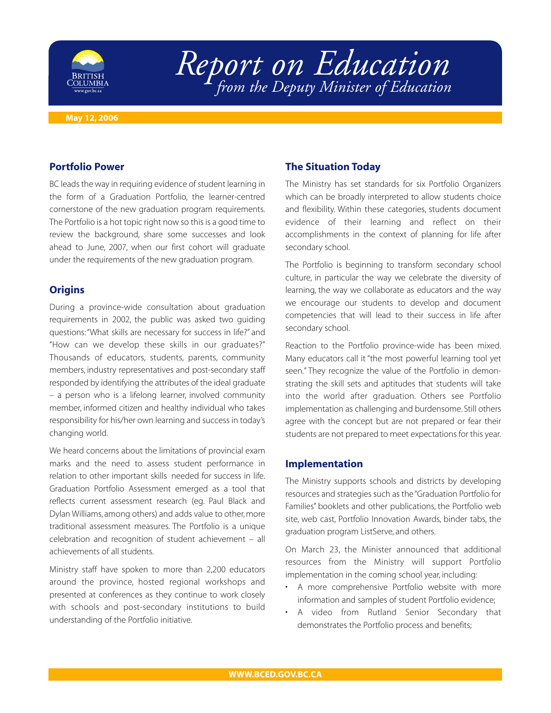

# *Report on Education from the Deputy Minister of Education*

#### **May 12, 2006**

### **Portfolio Power**

BC leads the way in requiring evidence of student learning in the form of a Graduation Portfolio, the learner-centred cornerstone of the new graduation program requirements. The Portfolio is a hot topic right now so this is a good time to review the background, share some successes and look ahead to June, 2007, when our first cohort will graduate under the requirements of the new graduation program.

## **Origins**

During a province-wide consultation about graduation requirements in 2002, the public was asked two guiding questions:"What skills are necessary for success in life?" and "How can we develop these skills in our graduates?" Thousands of educators, students, parents, community members, industry representatives and post-secondary staff responded by identifying the attributes of the ideal graduate – a person who is a lifelong learner, involved community member, informed citizen and healthy individual who takes responsibility for his/her own learning and success in today's changing world.

We heard concerns about the limitations of provincial exam marks and the need to assess student performance in relation to other important skills needed for success in life. Graduation Portfolio Assessment emerged as a tool that reflects current assessment research (eg. Paul Black and Dylan Williams, among others) and adds value to other, more traditional assessment measures. The Portfolio is a unique celebration and recognition of student achievement – all achievements of all students.

Ministry staff have spoken to more than 2,200 educators around the province, hosted regional workshops and presented at conferences as they continue to work closely with schools and post-secondary institutions to build understanding of the Portfolio initiative.

# **The Situation Today**

The Ministry has set standards for six Portfolio Organizers which can be broadly interpreted to allow students choice and flexibility. Within these categories, students document evidence of their learning and reflect on their accomplishments in the context of planning for life after secondary school.

The Portfolio is beginning to transform secondary school culture, in particular the way we celebrate the diversity of learning, the way we collaborate as educators and the way we encourage our students to develop and document competencies that will lead to their success in life after secondary school.

Reaction to the Portfolio province-wide has been mixed. Many educators call it "the most powerful learning tool yet seen." They recognize the value of the Portfolio in demonstrating the skill sets and aptitudes that students will take into the world after graduation. Others see Portfolio implementation as challenging and burdensome. Still others agree with the concept but are not prepared or fear their students are not prepared to meet expectations for this year.

#### **Implementation**

The Ministry supports schools and districts by developing resources and strategies such as the "Graduation Portfolio for Families" booklets and other publications, the Portfolio web site, web cast, Portfolio Innovation Awards, binder tabs, the graduation program ListServe, and others.

On March 23, the Minister announced that additional resources from the Ministry will support Portfolio implementation in the coming school year, including:

- A more comprehensive Portfolio website with more information and samples of student Portfolio evidence;
- A video from Rutland Senior Secondary that demonstrates the Portfolio process and benefits;